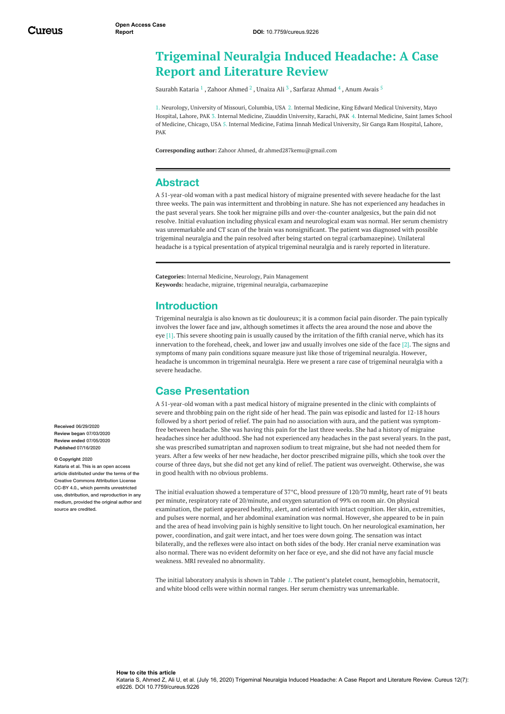# **Trigeminal Neuralgia Induced Headache: A Case Report and Literature Review**

[Saurabh](https://www.cureus.com/users/118912-saurabh-kataria) Kataria  $^1$  , [Zahoor](https://www.cureus.com/users/104460-zahoor-ahmed) Ahmed  $^2$  , [Unaiza](https://www.cureus.com/users/173617-unaiza-ali) Ali  $^3$  , [Sarfaraz](https://www.cureus.com/users/164271-sarfaraz-ahmad) Ahmad  $^4$  , [Anum](https://www.cureus.com/users/164272-anum-awais) Awais  $^5$ 

1. Neurology, University of Missouri, Columbia, USA 2. Internal Medicine, King Edward Medical University, Mayo Hospital, Lahore, PAK 3. Internal Medicine, Ziauddin University, Karachi, PAK 4. Internal Medicine, Saint James School of Medicine, Chicago, USA 5. Internal Medicine, Fatima Jinnah Medical University, Sir Ganga Ram Hospital, Lahore, PAK

**Corresponding author:** Zahoor Ahmed, dr.ahmed287kemu@gmail.com

### **Abstract**

A 51-year-old woman with a past medical history of migraine presented with severe headache for the last three weeks. The pain was intermittent and throbbing in nature. She has not experienced any headaches in the past several years. She took her migraine pills and over-the-counter analgesics, but the pain did not resolve. Initial evaluation including physical exam and neurological exam was normal. Her serum chemistry was unremarkable and CT scan of the brain was nonsignificant. The patient was diagnosed with possible trigeminal neuralgia and the pain resolved after being started on tegral (carbamazepine). Unilateral headache is a typical presentation of atypical trigeminal neuralgia and is rarely reported in literature.

**Categories:** Internal Medicine, Neurology, Pain Management **Keywords:** headache, migraine, trigeminal neuralgia, carbamazepine

### **Introduction**

Trigeminal neuralgia is also known as tic douloureux; it is a common facial pain disorder. The pain typically involves the lower face and jaw, although sometimes it affects the area around the nose and above the eye [1]. This severe shooting pain is usually caused by the irritation of the fifth cranial nerve, which has its innervation to the forehead, cheek, and lower jaw and usually involves one side of the face [2]. The signs and symptoms of many pain conditions square measure just like those of trigeminal neuralgia. However, headache is uncommon in trigeminal neuralgia. Here we present a rare case of trigeminal neuralgia with a severe headache.

### **Case Presentation**

A 51-year-old woman with a past medical history of migraine presented in the clinic with complaints of severe and throbbing pain on the right side of her head. The pain was episodic and lasted for 12-18 hours followed by a short period of relief. The pain had no association with aura, and the patient was symptomfree between headache. She was having this pain for the last three weeks. She had a history of migraine headaches since her adulthood. She had not experienced any headaches in the past several years. In the past, she was prescribed sumatriptan and naproxen sodium to treat migraine, but she had not needed them for years. After a few weeks of her new headache, her doctor prescribed migraine pills, which she took over the course of three days, but she did not get any kind of relief. The patient was overweight. Otherwise, she was in good health with no obvious problems.

The initial evaluation showed a temperature of 37°C, blood pressure of 120/70 mmHg, heart rate of 91 beats per minute, respiratory rate of 20/minute, and oxygen saturation of 99% on room air. On physical examination, the patient appeared healthy, alert, and oriented with intact cognition. Her skin, extremities, and pulses were normal, and her abdominal examination was normal. However, she appeared to be in pain and the area of head involving pain is highly sensitive to light touch. On her neurological examination, her power, coordination, and gait were intact, and her toes were down going. The sensation was intact bilaterally, and the reflexes were also intact on both sides of the body. Her cranial nerve examination was also normal. There was no evident deformity on her face or eye, and she did not have any facial muscle weakness. MRI revealed no abnormality.

The initial laboratory analysis is shown in Table *[1](#page-1-0)*. The patient's platelet count, hemoglobin, hematocrit, and white blood cells were within normal ranges. Her serum chemistry was unremarkable.

**Received** 06/29/2020 **Review began** 07/03/2020 **Review ended** 07/05/2020 **Published** 07/16/2020

#### **© Copyright** 2020

Kataria et al. This is an open access article distributed under the terms of the Creative Commons Attribution License CC-BY 4.0., which permits unrestricted use, distribution, and reproduction in any medium, provided the original author and source are credited.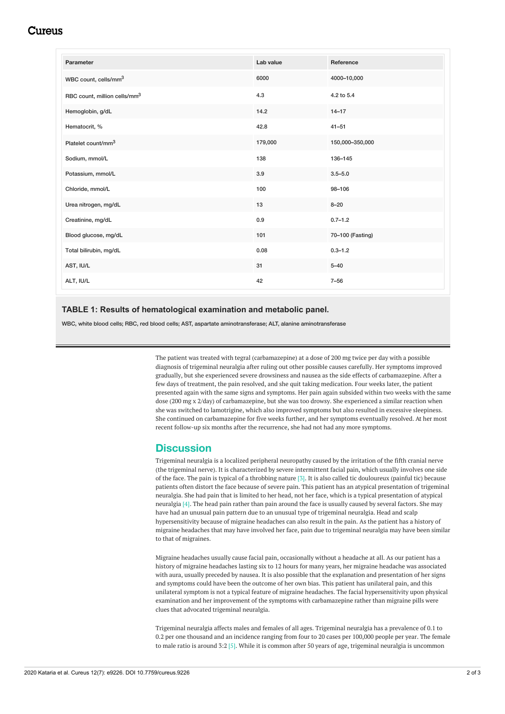### Cureus

<span id="page-1-0"></span>

| Parameter                                | Lab value | Reference        |
|------------------------------------------|-----------|------------------|
| WBC count, cells/mm <sup>3</sup>         | 6000      | 4000-10,000      |
| RBC count, million cells/mm <sup>3</sup> | 4.3       | 4.2 to 5.4       |
| Hemoglobin, g/dL                         | 14.2      | $14 - 17$        |
| Hematocrit, %                            | 42.8      | $41 - 51$        |
| Platelet count/mm <sup>3</sup>           | 179,000   | 150,000-350,000  |
| Sodium, mmol/L                           | 138       | 136-145          |
| Potassium, mmol/L                        | 3.9       | $3.5 - 5.0$      |
| Chloride, mmol/L                         | 100       | 98-106           |
| Urea nitrogen, mg/dL                     | 13        | $8 - 20$         |
| Creatinine, mg/dL                        | 0.9       | $0.7 - 1.2$      |
| Blood glucose, mg/dL                     | 101       | 70-100 (Fasting) |
| Total bilirubin, mg/dL                   | 0.08      | $0.3 - 1.2$      |
| AST, IU/L                                | 31        | $5 - 40$         |
| ALT, IU/L                                | 42        | $7 - 56$         |

#### **TABLE 1: Results of hematological examination and metabolic panel.**

WBC, white blood cells; RBC, red blood cells; AST, aspartate aminotransferase; ALT, alanine aminotransferase

The patient was treated with tegral (carbamazepine) at a dose of 200 mg twice per day with a possible diagnosis of trigeminal neuralgia after ruling out other possible causes carefully. Her symptoms improved gradually, but she experienced severe drowsiness and nausea as the side effects of carbamazepine. After a few days of treatment, the pain resolved, and she quit taking medication. Four weeks later, the patient presented again with the same signs and symptoms. Her pain again subsided within two weeks with the same dose (200 mg x 2/day) of carbamazepine, but she was too drowsy. She experienced a similar reaction when she was switched to lamotrigine, which also improved symptoms but also resulted in excessive sleepiness. She continued on carbamazepine for five weeks further, and her symptoms eventually resolved. At her most recent follow-up six months after the recurrence, she had not had any more symptoms.

### **Discussion**

Trigeminal neuralgia is a localized peripheral neuropathy caused by the irritation of the fifth cranial nerve (the trigeminal nerve). It is characterized by severe intermittent facial pain, which usually involves one side of the face. The pain is typical of a throbbing nature [3]. It is also called tic douloureux (painful tic) because patients often distort the face because of severe pain. This patient has an atypical presentation of trigeminal neuralgia. She had pain that is limited to her head, not her face, which is a typical presentation of atypical neuralgia [4]. The head pain rather than pain around the face is usually caused by several factors. She may have had an unusual pain pattern due to an unusual type of trigeminal neuralgia. Head and scalp hypersensitivity because of migraine headaches can also result in the pain. As the patient has a history of migraine headaches that may have involved her face, pain due to trigeminal neuralgia may have been similar to that of migraines.

Migraine headaches usually cause facial pain, occasionally without a headache at all. As our patient has a history of migraine headaches lasting six to 12 hours for many years, her migraine headache was associated with aura, usually preceded by nausea. It is also possible that the explanation and presentation of her signs and symptoms could have been the outcome of her own bias. This patient has unilateral pain, and this unilateral symptom is not a typical feature of migraine headaches. The facial hypersensitivity upon physical examination and her improvement of the symptoms with carbamazepine rather than migraine pills were clues that advocated trigeminal neuralgia.

Trigeminal neuralgia affects males and females of all ages. Trigeminal neuralgia has a prevalence of 0.1 to 0.2 per one thousand and an incidence ranging from four to 20 cases per 100,000 people per year. The female to male ratio is around 3:2 [5]. While it is common after 50 years of age, trigeminal neuralgia is uncommon